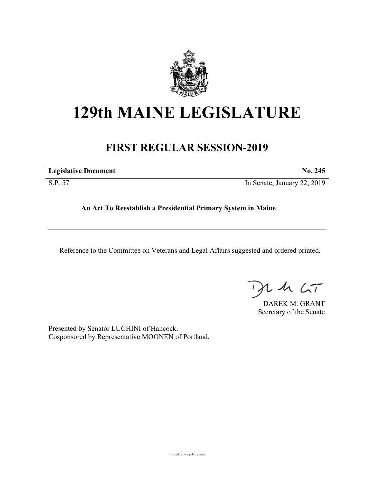

## **129th MAINE LEGISLATURE**

## **FIRST REGULAR SESSION-2019**

|  | <b>Legislative Document</b> | No. 245 |
|--|-----------------------------|---------|
|--|-----------------------------|---------|

S.P. 57 In Senate, January 22, 2019

**An Act To Reestablish a Presidential Primary System in Maine**

Reference to the Committee on Veterans and Legal Affairs suggested and ordered printed.

 $425$ 

DAREK M. GRANT Secretary of the Senate

Presented by Senator LUCHINI of Hancock. Cosponsored by Representative MOONEN of Portland.